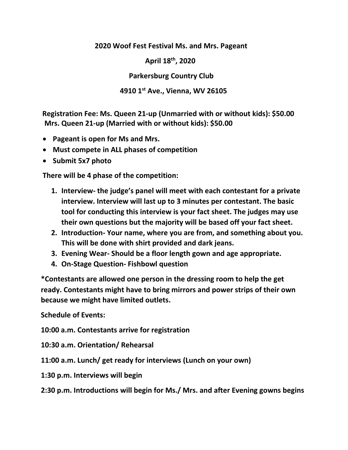**2020 Woof Fest Festival Ms. and Mrs. Pageant** 

 **April 18th, 2020**

 **Parkersburg Country Club** 

## **4910 1st Ave., Vienna, WV 26105**

**Registration Fee: Ms. Queen 21-up (Unmarried with or without kids): \$50.00 Mrs. Queen 21-up (Married with or without kids): \$50.00**

- **Pageant is open for Ms and Mrs.**
- **Must compete in ALL phases of competition**
- **Submit 5x7 photo**

**There will be 4 phase of the competition:**

- **1. Interview- the judge's panel will meet with each contestant for a private interview. Interview will last up to 3 minutes per contestant. The basic tool for conducting this interview is your fact sheet. The judges may use their own questions but the majority will be based off your fact sheet.**
- **2. Introduction- Your name, where you are from, and something about you. This will be done with shirt provided and dark jeans.**
- **3. Evening Wear- Should be a floor length gown and age appropriate.**
- **4. On-Stage Question- Fishbowl question**

**\*Contestants are allowed one person in the dressing room to help the get ready. Contestants might have to bring mirrors and power strips of their own because we might have limited outlets.** 

**Schedule of Events:**

**10:00 a.m. Contestants arrive for registration**

**10:30 a.m. Orientation/ Rehearsal** 

**11:00 a.m. Lunch/ get ready for interviews (Lunch on your own)**

**1:30 p.m. Interviews will begin**

**2:30 p.m. Introductions will begin for Ms./ Mrs. and after Evening gowns begins**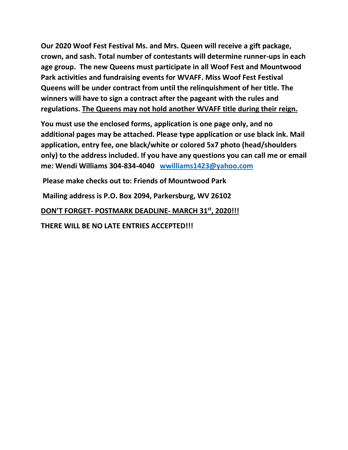**Our 2020 Woof Fest Festival Ms. and Mrs. Queen will receive a gift package, crown, and sash. Total number of contestants will determine runner-ups in each age group. The new Queens must participate in all Woof Fest and Mountwood Park activities and fundraising events for WVAFF. Miss Woof Fest Festival Queens will be under contract from until the relinquishment of her title. The winners will have to sign a contract after the pageant with the rules and regulations. The Queens may not hold another WVAFF title during their reign.**

**You must use the enclosed forms, application is one page only, and no additional pages may be attached. Please type application or use black ink. Mail application, entry fee, one black/white or colored 5x7 photo (head/shoulders only) to the address included. If you have any questions you can call me or email me: Wendi Williams 304-834-4040 [wwilliams1423@yahoo.com](mailto:wwilliams1423@yahoo.com)**

**Please make checks out to: Friends of Mountwood Park** 

**Mailing address is P.O. Box 2094, Parkersburg, WV 26102** 

**DON'T FORGET- POSTMARK DEADLINE- MARCH 31st, 2020!!!** 

**THERE WILL BE NO LATE ENTRIES ACCEPTED!!!**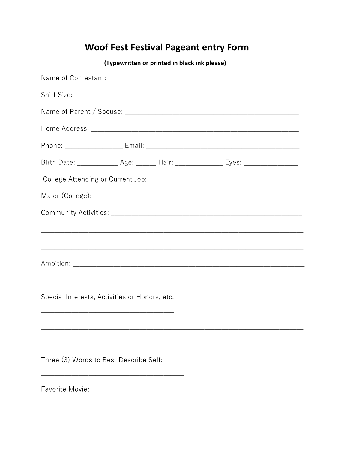## **Woof Fest Festival Pageant entry Form**

| (Typewritten or printed in black ink please)   |  |  |                                                                                         |  |  |
|------------------------------------------------|--|--|-----------------------------------------------------------------------------------------|--|--|
|                                                |  |  |                                                                                         |  |  |
| Shirt Size: ______                             |  |  |                                                                                         |  |  |
|                                                |  |  |                                                                                         |  |  |
|                                                |  |  |                                                                                         |  |  |
|                                                |  |  |                                                                                         |  |  |
|                                                |  |  | Birth Date: ______________ Age: _______ Hair: _________________ Eyes: _________________ |  |  |
|                                                |  |  |                                                                                         |  |  |
|                                                |  |  |                                                                                         |  |  |
|                                                |  |  |                                                                                         |  |  |
|                                                |  |  |                                                                                         |  |  |
|                                                |  |  |                                                                                         |  |  |
|                                                |  |  |                                                                                         |  |  |
|                                                |  |  |                                                                                         |  |  |
| Special Interests, Activities or Honors, etc.: |  |  |                                                                                         |  |  |
|                                                |  |  |                                                                                         |  |  |
|                                                |  |  |                                                                                         |  |  |
|                                                |  |  |                                                                                         |  |  |
| Three (3) Words to Best Describe Self:         |  |  |                                                                                         |  |  |
|                                                |  |  |                                                                                         |  |  |